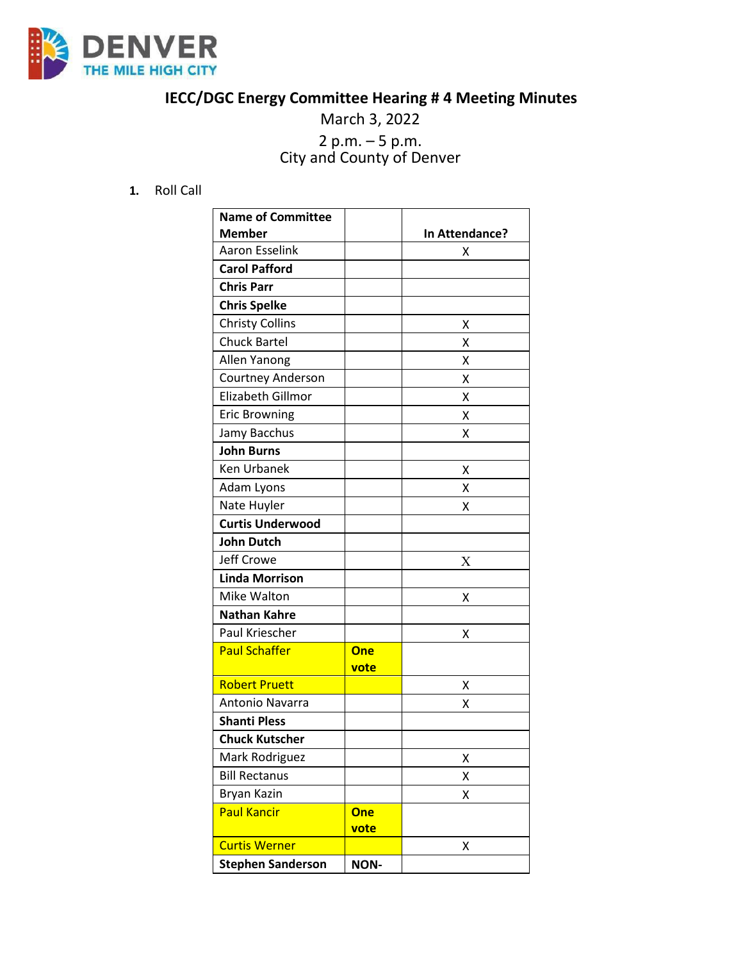

## **IECC/DGC Energy Committee Hearing # 4 Meeting Minutes**

## March 3, 2022 <sup>2</sup> p.m. – <sup>5</sup> p.m. City and County of Denver

**1.** Roll Call

| <b>Name of Committee</b> |             |                |
|--------------------------|-------------|----------------|
| <b>Member</b>            |             | In Attendance? |
| <b>Aaron Esselink</b>    |             | x              |
| <b>Carol Pafford</b>     |             |                |
| <b>Chris Parr</b>        |             |                |
| <b>Chris Spelke</b>      |             |                |
| <b>Christy Collins</b>   |             | х              |
| <b>Chuck Bartel</b>      |             | х              |
| Allen Yanong             |             | x              |
| Courtney Anderson        |             | х              |
| Elizabeth Gillmor        |             | x              |
| <b>Eric Browning</b>     |             | X              |
| Jamy Bacchus             |             | х              |
| <b>John Burns</b>        |             |                |
| Ken Urbanek              |             | x              |
| Adam Lyons               |             | х              |
| Nate Huyler              |             | х              |
| <b>Curtis Underwood</b>  |             |                |
| <b>John Dutch</b>        |             |                |
| <b>Jeff Crowe</b>        |             | X              |
| <b>Linda Morrison</b>    |             |                |
| Mike Walton              |             | X              |
| <b>Nathan Kahre</b>      |             |                |
| Paul Kriescher           |             | х              |
| <b>Paul Schaffer</b>     | <b>One</b>  |                |
|                          | vote        |                |
| <b>Robert Pruett</b>     |             | х              |
| Antonio Navarra          |             | Χ              |
| <b>Shanti Pless</b>      |             |                |
| <b>Chuck Kutscher</b>    |             |                |
| Mark Rodriguez           |             | Χ              |
| <b>Bill Rectanus</b>     |             | χ              |
| Bryan Kazin              |             | Χ              |
| <b>Paul Kancir</b>       | <b>One</b>  |                |
|                          | vote        |                |
| <b>Curtis Werner</b>     |             | x              |
| <b>Stephen Sanderson</b> | <b>NON-</b> |                |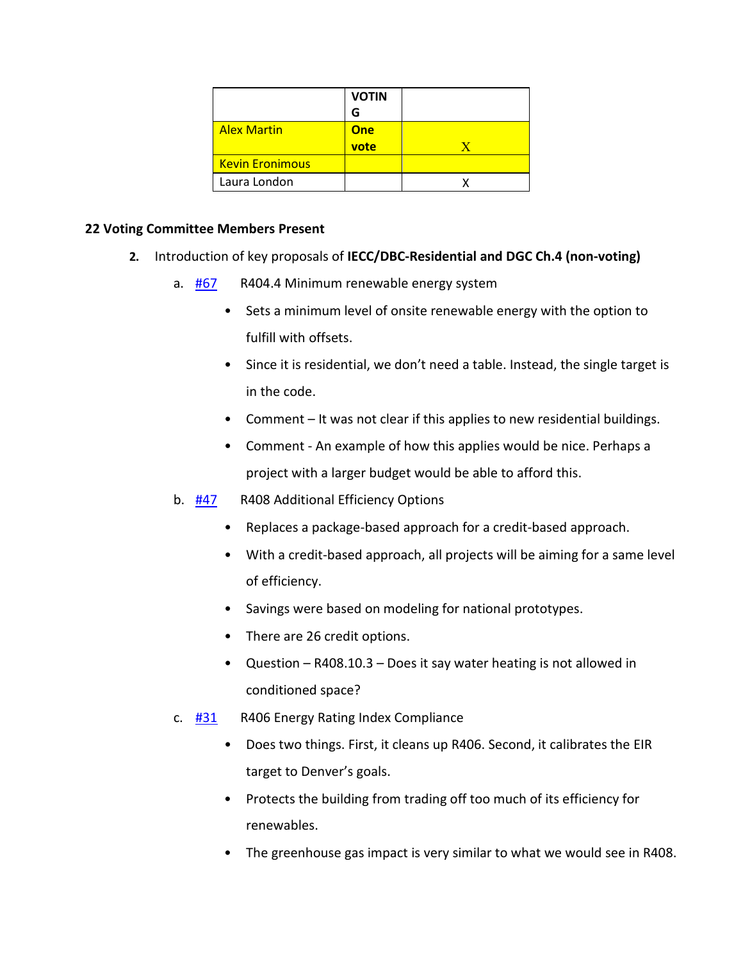|                        | <b>VOTIN</b> |  |
|------------------------|--------------|--|
|                        | G            |  |
| <b>Alex Martin</b>     | <b>One</b>   |  |
|                        | vote         |  |
| <b>Kevin Eronimous</b> |              |  |
| Laura London           |              |  |

## **22 Voting Committee Members Present**

- **2.** Introduction of key proposals of **IECC/DBC-Residential and DGC Ch.4 (non-voting)**
	- a.  $\frac{\text{H67}}{\text{H62}}$  R404.4 Minimum renewable energy system
		- Sets a minimum level of onsite renewable energy with the option to fulfill with offsets.
		- Since it is residential, we don't need a table. Instead, the single target is in the code.
		- Comment It was not clear if this applies to new residential buildings.
		- Comment An example of how this applies would be nice. Perhaps a project with a larger budget would be able to afford this.
	- b. **[#47](https://www.denvergov.org/files/assets/public/community-planning-and-development/documents/ds/building-codes/code-adoption/amendment-proposals/iecc/47_iecc_r408_option-2.pdf)** R408 Additional Efficiency Options
		- Replaces a package-based approach for a credit-based approach.
		- With a credit-based approach, all projects will be aiming for a same level of efficiency.
		- Savings were based on modeling for national prototypes.
		- There are 26 credit options.
		- Question R408.10.3 Does it say water heating is not allowed in conditioned space?
	- c.  $\frac{\text{#31}}{\text{#31}}$  R406 Energy Rating Index Compliance
		- Does two things. First, it cleans up R406. Second, it calibrates the EIR target to Denver's goals.
		- Protects the building from trading off too much of its efficiency for renewables.
		- The greenhouse gas impact is very similar to what we would see in R408.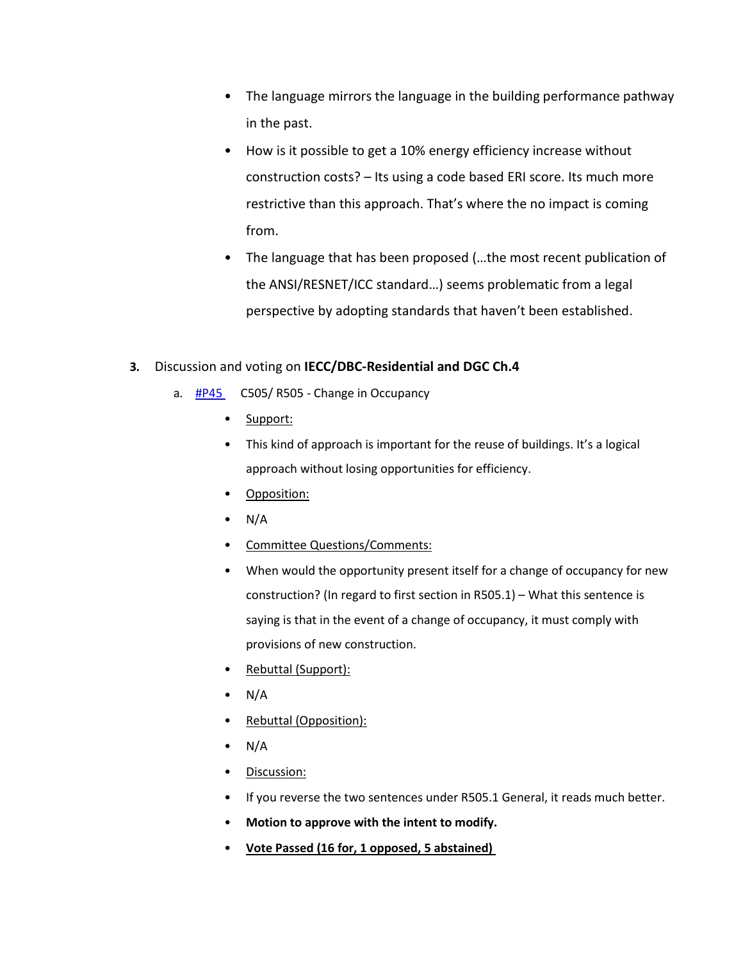- The language mirrors the language in the building performance pathway in the past.
- How is it possible to get a 10% energy efficiency increase without construction costs? – Its using a code based ERI score. Its much more restrictive than this approach. That's where the no impact is coming from.
- The language that has been proposed (…the most recent publication of the ANSI/RESNET/ICC standard…) seems problematic from a legal perspective by adopting standards that haven't been established.

## **3.** Discussion and voting on **IECC/DBC-Residential and DGC Ch.4**

- a.  $\frac{\text{HP45}}{\text{HP45}}$  C505/ R505 Change in Occupancy
	- Support:
	- This kind of approach is important for the reuse of buildings. It's a logical approach without losing opportunities for efficiency.
	- Opposition:
	- $\bullet$  N/A
	- Committee Questions/Comments:
	- When would the opportunity present itself for a change of occupancy for new construction? (In regard to first section in R505.1) – What this sentence is saying is that in the event of a change of occupancy, it must comply with provisions of new construction.
	- Rebuttal (Support):
	- $\bullet$  N/A
	- Rebuttal (Opposition):
	- $\bullet$  N/A
	- Discussion:
	- If you reverse the two sentences under R505.1 General, it reads much better.
	- **Motion to approve with the intent to modify.**
	- **Vote Passed (16 for, 1 opposed, 5 abstained)**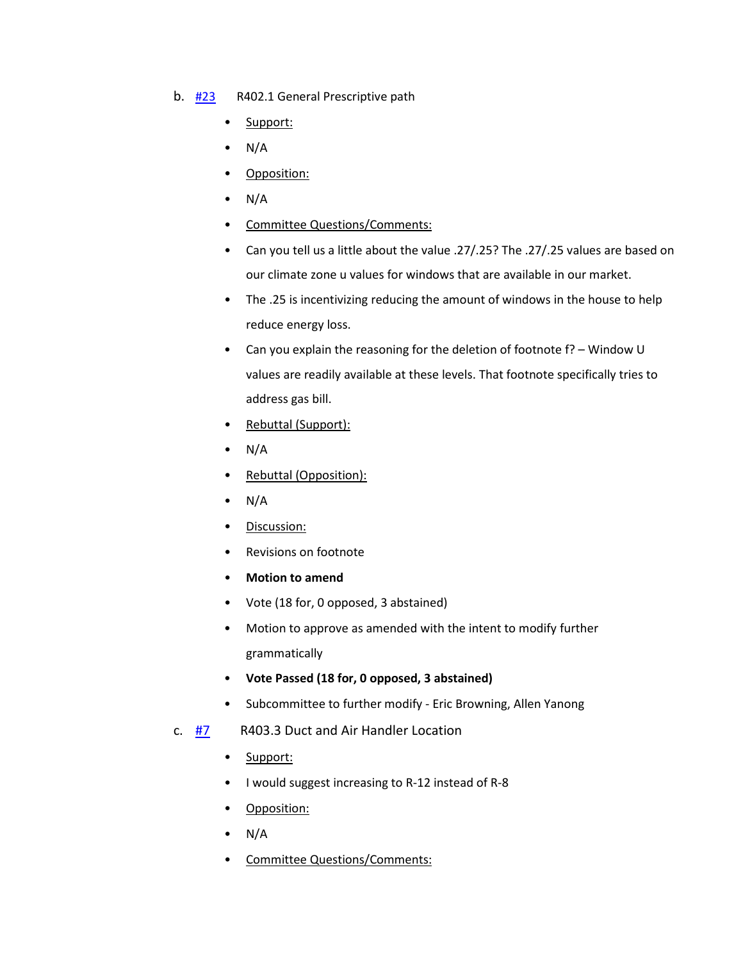- b. [#23](https://www.denvergov.org/files/assets/public/community-planning-and-development/documents/ds/building-codes/code-adoption/amendment-proposals/iecc/iecc_r402.1_res.pdf) R402.1 General Prescriptive path
	- Support:
	- $\bullet$  N/A
	- Opposition:
	- $\bullet$  N/A
	- Committee Questions/Comments:
	- Can you tell us a little about the value .27/.25? The .27/.25 values are based on our climate zone u values for windows that are available in our market.
	- The .25 is incentivizing reducing the amount of windows in the house to help reduce energy loss.
	- Can you explain the reasoning for the deletion of footnote f? Window U values are readily available at these levels. That footnote specifically tries to address gas bill.
	- Rebuttal (Support):
	- $\bullet$  N/A
	- Rebuttal (Opposition):
	- $\bullet$  N/A
	- Discussion:
	- Revisions on footnote
	- **Motion to amend**
	- Vote (18 for, 0 opposed, 3 abstained)
	- Motion to approve as amended with the intent to modify further grammatically
	- **Vote Passed (18 for, 0 opposed, 3 abstained)**
	- Subcommittee to further modify Eric Browning, Allen Yanong
- c.  $\frac{H7}{H2}$  R403.3 Duct and Air Handler Location
	- Support:
	- I would suggest increasing to R-12 instead of R-8
	- Opposition:
	- $\bullet$  N/A
	- Committee Questions/Comments: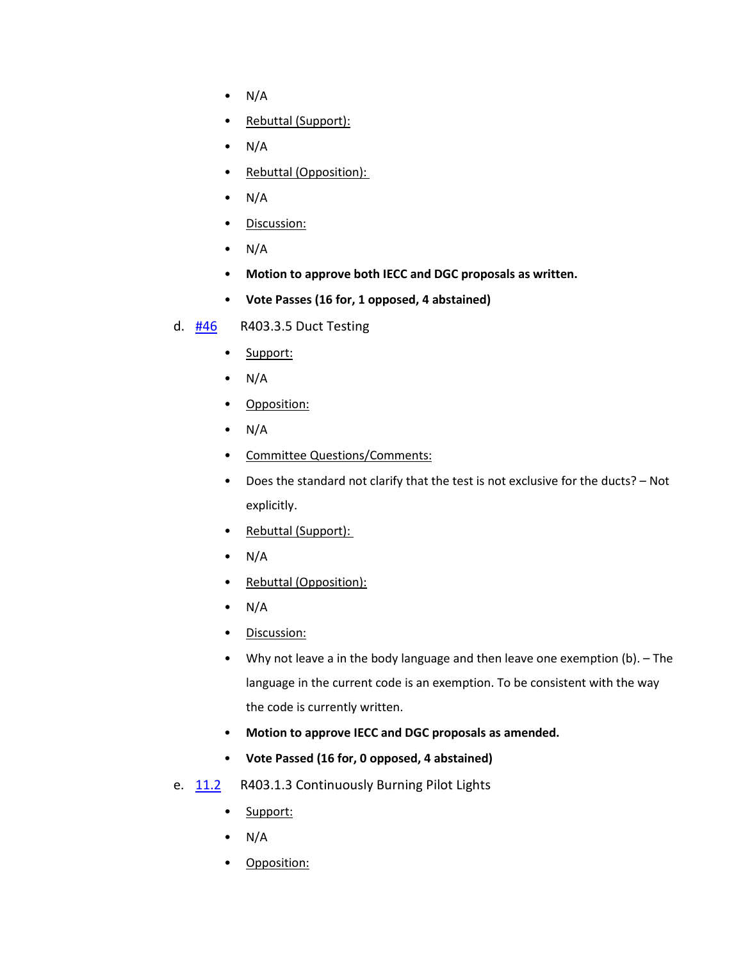- $\bullet$  N/A
- Rebuttal (Support):
- $\bullet$  N/A
- Rebuttal (Opposition):
- $\bullet$  N/A
- Discussion:
- $\bullet$  N/A
- **Motion to approve both IECC and DGC proposals as written.**
- **Vote Passes (16 for, 1 opposed, 4 abstained)**
- d. **[#46](https://www.denvergov.org/files/assets/public/community-planning-and-development/documents/ds/building-codes/code-adoption/amendment-proposals/iecc/iecc_r403.3.5_res.pdf)** R403.3.5 Duct Testing
	- Support:
	- $\bullet$  N/A
	- Opposition:
	- $\bullet$  N/A
	- Committee Questions/Comments:
	- Does the standard not clarify that the test is not exclusive for the ducts? Not explicitly.
	- Rebuttal (Support):
	- $\bullet$  N/A
	- Rebuttal (Opposition):
	- $\bullet$  N/A
	- Discussion:
	- Why not leave a in the body language and then leave one exemption (b). The language in the current code is an exemption. To be consistent with the way the code is currently written.
	- **Motion to approve IECC and DGC proposals as amended.**
	- **Vote Passed (16 for, 0 opposed, 4 abstained)**
- e. [11.2](https://www.denvergov.org/files/assets/public/community-planning-and-development/documents/ds/building-codes/code-adoption/amendment-proposals/iecc/iecc_r403.1.3_res.pdf) R403.1.3 Continuously Burning Pilot Lights
	- Support:
	- $\bullet$  N/A
	- Opposition: